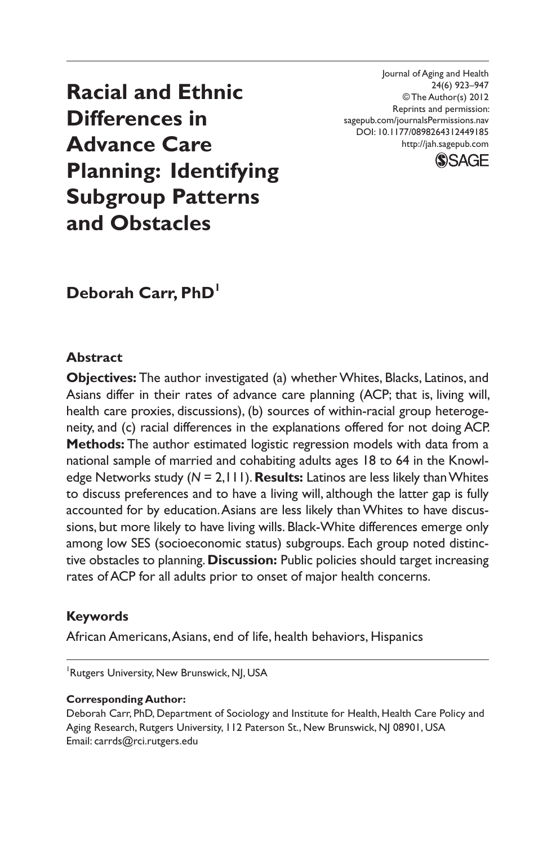**Racial and Ethnic Differences in Advance Care Planning: Identifying Subgroup Patterns and Obstacles**

Journal of Aging and Health 24(6) 923–947 © The Author(s) 2012 Reprints and permission: sagepub.com/journalsPermissions.nav DOI: 10.1177/0898264312449185 http://jah.sagepub.com



# Deborah Carr, PhD<sup>1</sup>

#### **Abstract**

**Objectives:** The author investigated (a) whether Whites, Blacks, Latinos, and Asians differ in their rates of advance care planning (ACP; that is, living will, health care proxies, discussions), (b) sources of within-racial group heterogeneity, and (c) racial differences in the explanations offered for not doing ACP. **Methods:** The author estimated logistic regression models with data from a national sample of married and cohabiting adults ages 18 to 64 in the Knowledge Networks study (*N* = 2,111). **Results:** Latinos are less likely than Whites to discuss preferences and to have a living will, although the latter gap is fully accounted for by education. Asians are less likely than Whites to have discussions, but more likely to have living wills. Black-White differences emerge only among low SES (socioeconomic status) subgroups. Each group noted distinctive obstacles to planning. **Discussion:** Public policies should target increasing rates of ACP for all adults prior to onset of major health concerns.

#### **Keywords**

African Americans, Asians, end of life, health behaviors, Hispanics

<sup>1</sup>Rutgers University, New Brunswick, NJ, USA

#### **Corresponding Author:**

Deborah Carr, PhD, Department of Sociology and Institute for Health, Health Care Policy and Aging Research, Rutgers University, 112 Paterson St., New Brunswick, NJ 08901, USA Email: carrds@rci.rutgers.edu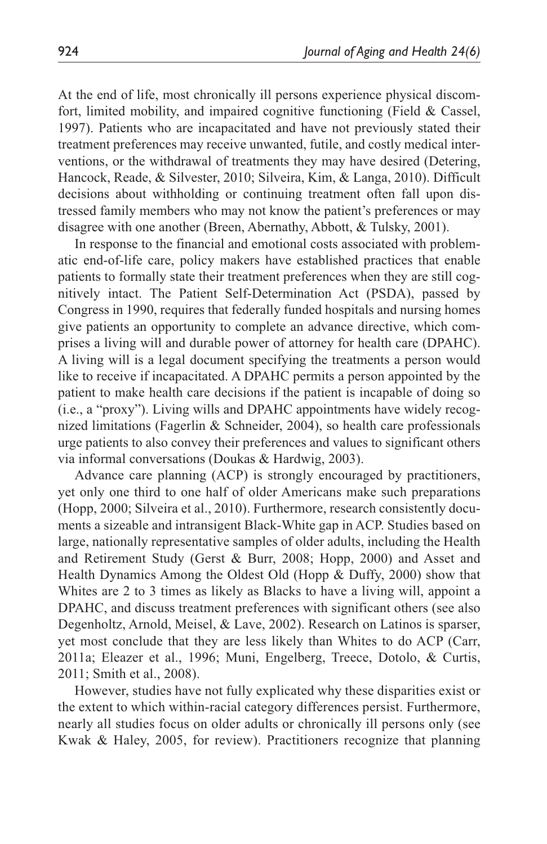At the end of life, most chronically ill persons experience physical discomfort, limited mobility, and impaired cognitive functioning (Field & Cassel, 1997). Patients who are incapacitated and have not previously stated their treatment preferences may receive unwanted, futile, and costly medical interventions, or the withdrawal of treatments they may have desired (Detering, Hancock, Reade, & Silvester, 2010; Silveira, Kim, & Langa, 2010). Difficult decisions about withholding or continuing treatment often fall upon distressed family members who may not know the patient's preferences or may disagree with one another (Breen, Abernathy, Abbott, & Tulsky, 2001).

In response to the financial and emotional costs associated with problematic end-of-life care, policy makers have established practices that enable patients to formally state their treatment preferences when they are still cognitively intact. The Patient Self-Determination Act (PSDA), passed by Congress in 1990, requires that federally funded hospitals and nursing homes give patients an opportunity to complete an advance directive, which comprises a living will and durable power of attorney for health care (DPAHC). A living will is a legal document specifying the treatments a person would like to receive if incapacitated. A DPAHC permits a person appointed by the patient to make health care decisions if the patient is incapable of doing so (i.e., a "proxy"). Living wills and DPAHC appointments have widely recognized limitations (Fagerlin & Schneider, 2004), so health care professionals urge patients to also convey their preferences and values to significant others via informal conversations (Doukas & Hardwig, 2003).

Advance care planning (ACP) is strongly encouraged by practitioners, yet only one third to one half of older Americans make such preparations (Hopp, 2000; Silveira et al., 2010). Furthermore, research consistently documents a sizeable and intransigent Black-White gap in ACP. Studies based on large, nationally representative samples of older adults, including the Health and Retirement Study (Gerst & Burr, 2008; Hopp, 2000) and Asset and Health Dynamics Among the Oldest Old (Hopp & Duffy, 2000) show that Whites are 2 to 3 times as likely as Blacks to have a living will, appoint a DPAHC, and discuss treatment preferences with significant others (see also Degenholtz, Arnold, Meisel, & Lave, 2002). Research on Latinos is sparser, yet most conclude that they are less likely than Whites to do ACP (Carr, 2011a; Eleazer et al., 1996; Muni, Engelberg, Treece, Dotolo, & Curtis, 2011; Smith et al., 2008).

However, studies have not fully explicated why these disparities exist or the extent to which within-racial category differences persist. Furthermore, nearly all studies focus on older adults or chronically ill persons only (see Kwak & Haley, 2005, for review). Practitioners recognize that planning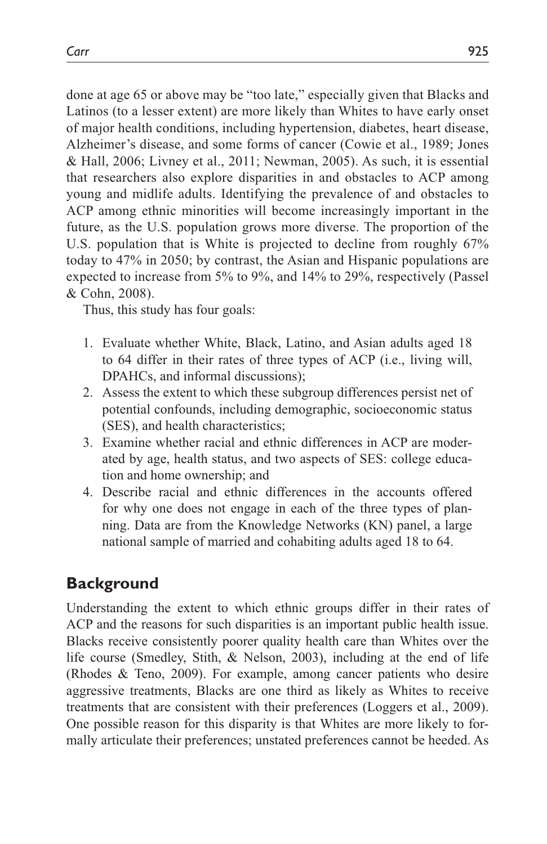done at age 65 or above may be "too late," especially given that Blacks and Latinos (to a lesser extent) are more likely than Whites to have early onset of major health conditions, including hypertension, diabetes, heart disease, Alzheimer's disease, and some forms of cancer (Cowie et al., 1989; Jones & Hall, 2006; Livney et al., 2011; Newman, 2005). As such, it is essential that researchers also explore disparities in and obstacles to ACP among young and midlife adults. Identifying the prevalence of and obstacles to ACP among ethnic minorities will become increasingly important in the future, as the U.S. population grows more diverse. The proportion of the U.S. population that is White is projected to decline from roughly 67% today to 47% in 2050; by contrast, the Asian and Hispanic populations are expected to increase from 5% to 9%, and 14% to 29%, respectively (Passel & Cohn, 2008).

Thus, this study has four goals:

- 1. Evaluate whether White, Black, Latino, and Asian adults aged 18 to 64 differ in their rates of three types of ACP (i.e., living will, DPAHCs, and informal discussions);
- 2. Assess the extent to which these subgroup differences persist net of potential confounds, including demographic, socioeconomic status (SES), and health characteristics;
- 3. Examine whether racial and ethnic differences in ACP are moderated by age, health status, and two aspects of SES: college education and home ownership; and
- 4. Describe racial and ethnic differences in the accounts offered for why one does not engage in each of the three types of planning. Data are from the Knowledge Networks (KN) panel, a large national sample of married and cohabiting adults aged 18 to 64.

# **Background**

Understanding the extent to which ethnic groups differ in their rates of ACP and the reasons for such disparities is an important public health issue. Blacks receive consistently poorer quality health care than Whites over the life course (Smedley, Stith, & Nelson, 2003), including at the end of life (Rhodes & Teno, 2009). For example, among cancer patients who desire aggressive treatments, Blacks are one third as likely as Whites to receive treatments that are consistent with their preferences (Loggers et al., 2009). One possible reason for this disparity is that Whites are more likely to formally articulate their preferences; unstated preferences cannot be heeded. As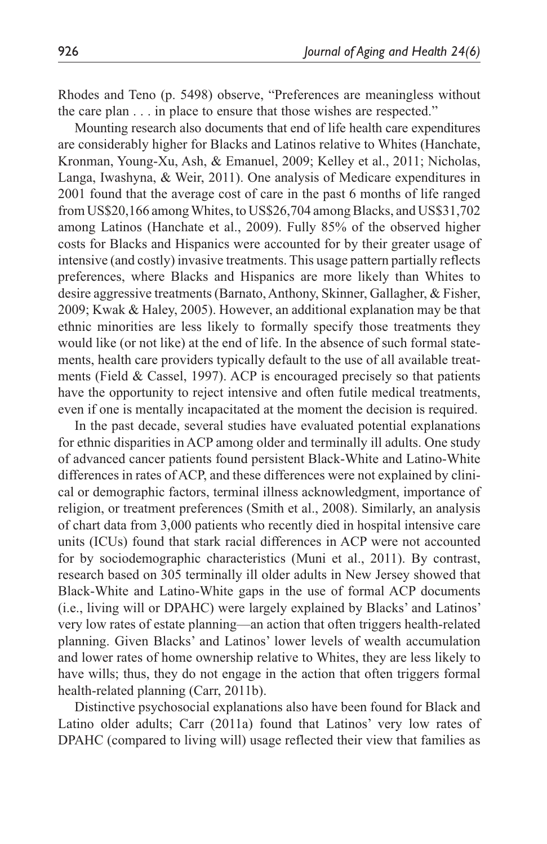Rhodes and Teno (p. 5498) observe, "Preferences are meaningless without the care plan . . . in place to ensure that those wishes are respected."

Mounting research also documents that end of life health care expenditures are considerably higher for Blacks and Latinos relative to Whites (Hanchate, Kronman, Young-Xu, Ash, & Emanuel, 2009; Kelley et al., 2011; Nicholas, Langa, Iwashyna, & Weir, 2011). One analysis of Medicare expenditures in 2001 found that the average cost of care in the past 6 months of life ranged from US\$20,166 among Whites, to US\$26,704 among Blacks, and US\$31,702 among Latinos (Hanchate et al., 2009). Fully 85% of the observed higher costs for Blacks and Hispanics were accounted for by their greater usage of intensive (and costly) invasive treatments. This usage pattern partially reflects preferences, where Blacks and Hispanics are more likely than Whites to desire aggressive treatments (Barnato, Anthony, Skinner, Gallagher, & Fisher, 2009; Kwak & Haley, 2005). However, an additional explanation may be that ethnic minorities are less likely to formally specify those treatments they would like (or not like) at the end of life. In the absence of such formal statements, health care providers typically default to the use of all available treatments (Field & Cassel, 1997). ACP is encouraged precisely so that patients have the opportunity to reject intensive and often futile medical treatments, even if one is mentally incapacitated at the moment the decision is required.

In the past decade, several studies have evaluated potential explanations for ethnic disparities in ACP among older and terminally ill adults. One study of advanced cancer patients found persistent Black-White and Latino-White differences in rates of ACP, and these differences were not explained by clinical or demographic factors, terminal illness acknowledgment, importance of religion, or treatment preferences (Smith et al., 2008). Similarly, an analysis of chart data from 3,000 patients who recently died in hospital intensive care units (ICUs) found that stark racial differences in ACP were not accounted for by sociodemographic characteristics (Muni et al., 2011). By contrast, research based on 305 terminally ill older adults in New Jersey showed that Black-White and Latino-White gaps in the use of formal ACP documents (i.e., living will or DPAHC) were largely explained by Blacks' and Latinos' very low rates of estate planning—an action that often triggers health-related planning. Given Blacks' and Latinos' lower levels of wealth accumulation and lower rates of home ownership relative to Whites, they are less likely to have wills; thus, they do not engage in the action that often triggers formal health-related planning (Carr, 2011b).

Distinctive psychosocial explanations also have been found for Black and Latino older adults; Carr (2011a) found that Latinos' very low rates of DPAHC (compared to living will) usage reflected their view that families as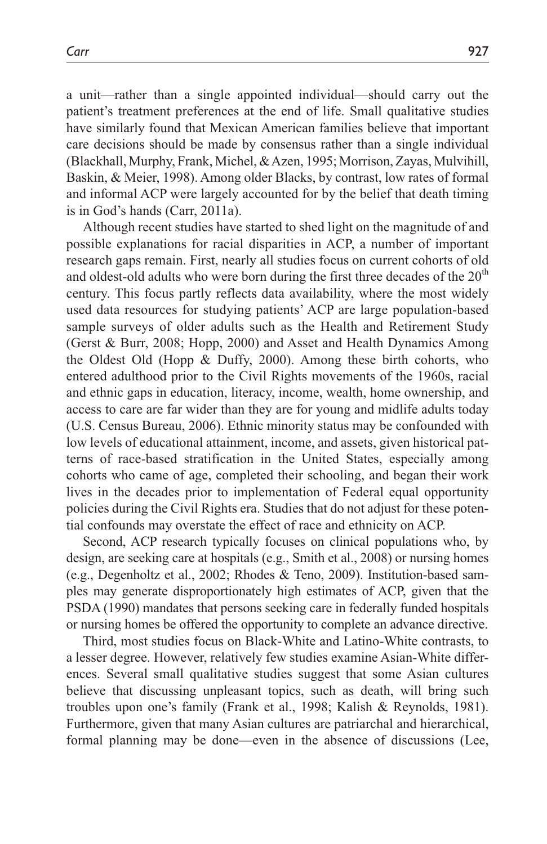a unit—rather than a single appointed individual—should carry out the patient's treatment preferences at the end of life. Small qualitative studies have similarly found that Mexican American families believe that important care decisions should be made by consensus rather than a single individual (Blackhall, Murphy, Frank, Michel, & Azen, 1995; Morrison, Zayas, Mulvihill, Baskin, & Meier, 1998). Among older Blacks, by contrast, low rates of formal and informal ACP were largely accounted for by the belief that death timing is in God's hands (Carr, 2011a).

Although recent studies have started to shed light on the magnitude of and possible explanations for racial disparities in ACP, a number of important research gaps remain. First, nearly all studies focus on current cohorts of old and oldest-old adults who were born during the first three decades of the  $20<sup>th</sup>$ century. This focus partly reflects data availability, where the most widely used data resources for studying patients' ACP are large population-based sample surveys of older adults such as the Health and Retirement Study (Gerst & Burr, 2008; Hopp, 2000) and Asset and Health Dynamics Among the Oldest Old (Hopp & Duffy, 2000). Among these birth cohorts, who entered adulthood prior to the Civil Rights movements of the 1960s, racial and ethnic gaps in education, literacy, income, wealth, home ownership, and access to care are far wider than they are for young and midlife adults today (U.S. Census Bureau, 2006). Ethnic minority status may be confounded with low levels of educational attainment, income, and assets, given historical patterns of race-based stratification in the United States, especially among cohorts who came of age, completed their schooling, and began their work lives in the decades prior to implementation of Federal equal opportunity policies during the Civil Rights era. Studies that do not adjust for these potential confounds may overstate the effect of race and ethnicity on ACP.

Second, ACP research typically focuses on clinical populations who, by design, are seeking care at hospitals (e.g., Smith et al., 2008) or nursing homes (e.g., Degenholtz et al., 2002; Rhodes & Teno, 2009). Institution-based samples may generate disproportionately high estimates of ACP, given that the PSDA (1990) mandates that persons seeking care in federally funded hospitals or nursing homes be offered the opportunity to complete an advance directive.

Third, most studies focus on Black-White and Latino-White contrasts, to a lesser degree. However, relatively few studies examine Asian-White differences. Several small qualitative studies suggest that some Asian cultures believe that discussing unpleasant topics, such as death, will bring such troubles upon one's family (Frank et al., 1998; Kalish & Reynolds, 1981). Furthermore, given that many Asian cultures are patriarchal and hierarchical, formal planning may be done—even in the absence of discussions (Lee,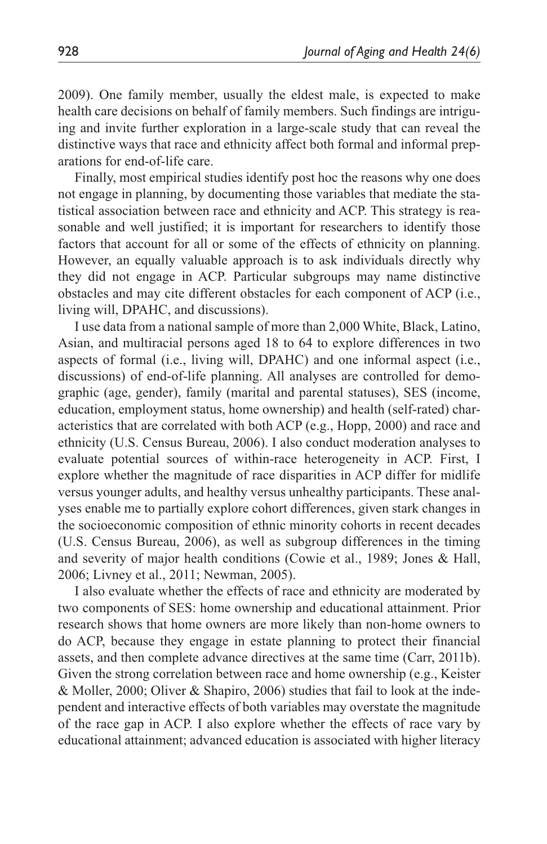2009). One family member, usually the eldest male, is expected to make health care decisions on behalf of family members. Such findings are intriguing and invite further exploration in a large-scale study that can reveal the distinctive ways that race and ethnicity affect both formal and informal preparations for end-of-life care.

Finally, most empirical studies identify post hoc the reasons why one does not engage in planning, by documenting those variables that mediate the statistical association between race and ethnicity and ACP. This strategy is reasonable and well justified; it is important for researchers to identify those factors that account for all or some of the effects of ethnicity on planning. However, an equally valuable approach is to ask individuals directly why they did not engage in ACP. Particular subgroups may name distinctive obstacles and may cite different obstacles for each component of ACP (i.e., living will, DPAHC, and discussions).

I use data from a national sample of more than 2,000 White, Black, Latino, Asian, and multiracial persons aged 18 to 64 to explore differences in two aspects of formal (i.e., living will, DPAHC) and one informal aspect (i.e., discussions) of end-of-life planning. All analyses are controlled for demographic (age, gender), family (marital and parental statuses), SES (income, education, employment status, home ownership) and health (self-rated) characteristics that are correlated with both ACP (e.g., Hopp, 2000) and race and ethnicity (U.S. Census Bureau, 2006). I also conduct moderation analyses to evaluate potential sources of within-race heterogeneity in ACP. First, I explore whether the magnitude of race disparities in ACP differ for midlife versus younger adults, and healthy versus unhealthy participants. These analyses enable me to partially explore cohort differences, given stark changes in the socioeconomic composition of ethnic minority cohorts in recent decades (U.S. Census Bureau, 2006), as well as subgroup differences in the timing and severity of major health conditions (Cowie et al., 1989; Jones & Hall, 2006; Livney et al., 2011; Newman, 2005).

I also evaluate whether the effects of race and ethnicity are moderated by two components of SES: home ownership and educational attainment. Prior research shows that home owners are more likely than non-home owners to do ACP, because they engage in estate planning to protect their financial assets, and then complete advance directives at the same time (Carr, 2011b). Given the strong correlation between race and home ownership (e.g., Keister & Moller, 2000; Oliver & Shapiro, 2006) studies that fail to look at the independent and interactive effects of both variables may overstate the magnitude of the race gap in ACP. I also explore whether the effects of race vary by educational attainment; advanced education is associated with higher literacy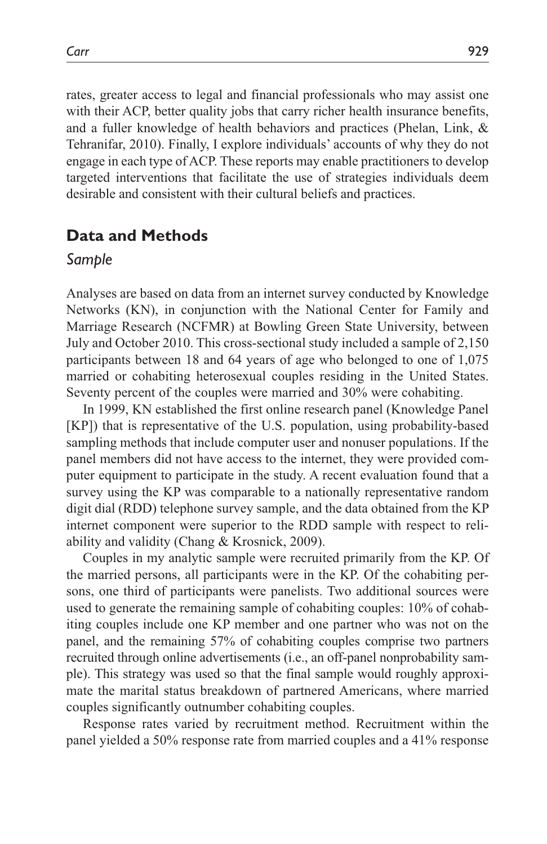rates, greater access to legal and financial professionals who may assist one with their ACP, better quality jobs that carry richer health insurance benefits, and a fuller knowledge of health behaviors and practices (Phelan, Link, & Tehranifar, 2010). Finally, I explore individuals' accounts of why they do not engage in each type of ACP. These reports may enable practitioners to develop targeted interventions that facilitate the use of strategies individuals deem desirable and consistent with their cultural beliefs and practices.

### **Data and Methods**

#### *Sample*

Analyses are based on data from an internet survey conducted by Knowledge Networks (KN), in conjunction with the National Center for Family and Marriage Research (NCFMR) at Bowling Green State University, between July and October 2010. This cross-sectional study included a sample of 2,150 participants between 18 and 64 years of age who belonged to one of 1,075 married or cohabiting heterosexual couples residing in the United States. Seventy percent of the couples were married and 30% were cohabiting.

In 1999, KN established the first online research panel (Knowledge Panel [KP]) that is representative of the U.S. population, using probability-based sampling methods that include computer user and nonuser populations. If the panel members did not have access to the internet, they were provided computer equipment to participate in the study. A recent evaluation found that a survey using the KP was comparable to a nationally representative random digit dial (RDD) telephone survey sample, and the data obtained from the KP internet component were superior to the RDD sample with respect to reliability and validity (Chang & Krosnick, 2009).

Couples in my analytic sample were recruited primarily from the KP. Of the married persons, all participants were in the KP. Of the cohabiting persons, one third of participants were panelists. Two additional sources were used to generate the remaining sample of cohabiting couples: 10% of cohabiting couples include one KP member and one partner who was not on the panel, and the remaining 57% of cohabiting couples comprise two partners recruited through online advertisements (i.e., an off-panel nonprobability sample). This strategy was used so that the final sample would roughly approximate the marital status breakdown of partnered Americans, where married couples significantly outnumber cohabiting couples.

Response rates varied by recruitment method. Recruitment within the panel yielded a 50% response rate from married couples and a 41% response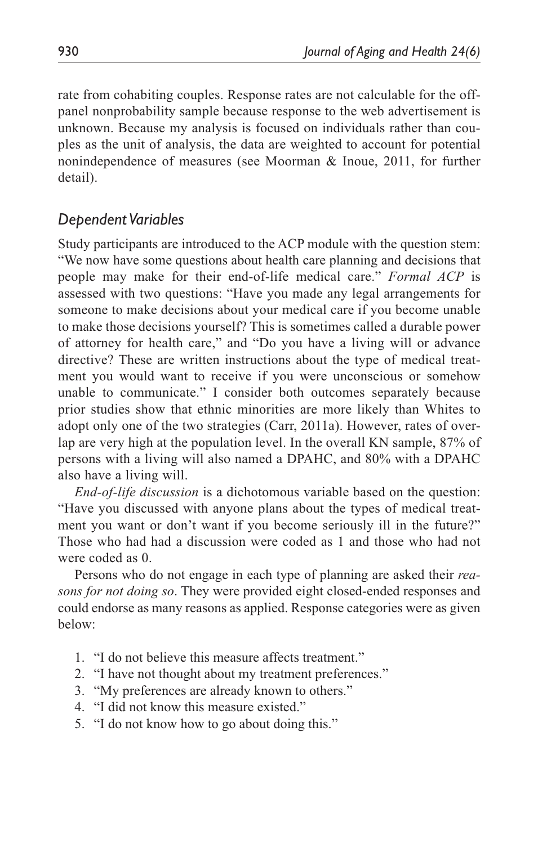rate from cohabiting couples. Response rates are not calculable for the offpanel nonprobability sample because response to the web advertisement is unknown. Because my analysis is focused on individuals rather than couples as the unit of analysis, the data are weighted to account for potential nonindependence of measures (see Moorman & Inoue, 2011, for further detail).

# *Dependent Variables*

Study participants are introduced to the ACP module with the question stem: "We now have some questions about health care planning and decisions that people may make for their end-of-life medical care." *Formal ACP* is assessed with two questions: "Have you made any legal arrangements for someone to make decisions about your medical care if you become unable to make those decisions yourself? This is sometimes called a durable power of attorney for health care," and "Do you have a living will or advance directive? These are written instructions about the type of medical treatment you would want to receive if you were unconscious or somehow unable to communicate." I consider both outcomes separately because prior studies show that ethnic minorities are more likely than Whites to adopt only one of the two strategies (Carr, 2011a). However, rates of overlap are very high at the population level. In the overall KN sample, 87% of persons with a living will also named a DPAHC, and 80% with a DPAHC also have a living will.

*End-of-life discussion* is a dichotomous variable based on the question: "Have you discussed with anyone plans about the types of medical treatment you want or don't want if you become seriously ill in the future?" Those who had had a discussion were coded as 1 and those who had not were coded as 0.

Persons who do not engage in each type of planning are asked their *reasons for not doing so*. They were provided eight closed-ended responses and could endorse as many reasons as applied. Response categories were as given below:

- 1. "I do not believe this measure affects treatment."
- 2. "I have not thought about my treatment preferences."
- 3. "My preferences are already known to others."
- 4. "I did not know this measure existed."
- 5. "I do not know how to go about doing this."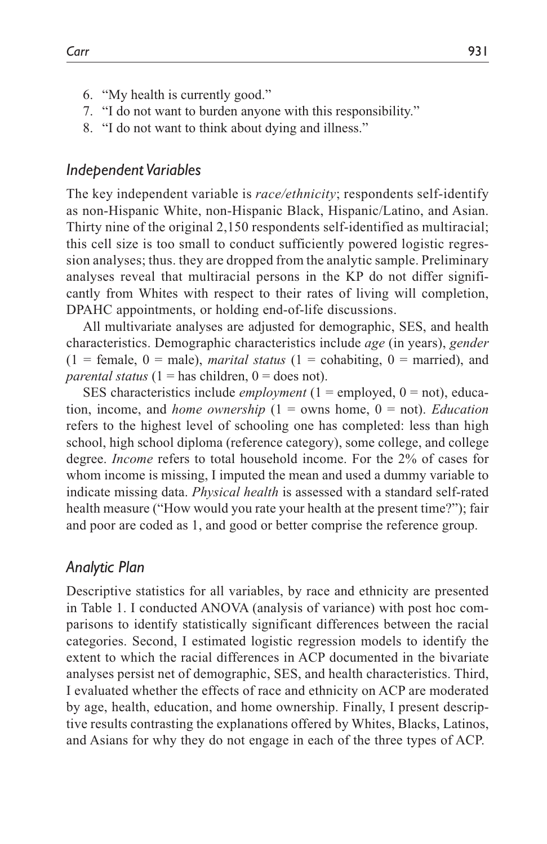- 6. "My health is currently good."
- 7. "I do not want to burden anyone with this responsibility."
- 8. "I do not want to think about dying and illness."

### *Independent Variables*

The key independent variable is *race/ethnicity*; respondents self-identify as non-Hispanic White, non-Hispanic Black, Hispanic/Latino, and Asian. Thirty nine of the original 2,150 respondents self-identified as multiracial; this cell size is too small to conduct sufficiently powered logistic regression analyses; thus. they are dropped from the analytic sample. Preliminary analyses reveal that multiracial persons in the KP do not differ significantly from Whites with respect to their rates of living will completion, DPAHC appointments, or holding end-of-life discussions.

All multivariate analyses are adjusted for demographic, SES, and health characteristics. Demographic characteristics include *age* (in years), *gender*  $(1 = \text{female}, 0 = \text{male})$ , *marital status*  $(1 = \text{cohabiting}, 0 = \text{married})$ , and *parental status* (1 = has children,  $0 =$  does not).

SES characteristics include *employment* (1 = employed, 0 = not), education, income, and *home ownership* (1 = owns home, 0 = not). *Education* refers to the highest level of schooling one has completed: less than high school, high school diploma (reference category), some college, and college degree. *Income* refers to total household income. For the 2% of cases for whom income is missing, I imputed the mean and used a dummy variable to indicate missing data. *Physical health* is assessed with a standard self-rated health measure ("How would you rate your health at the present time?"); fair and poor are coded as 1, and good or better comprise the reference group.

## *Analytic Plan*

Descriptive statistics for all variables, by race and ethnicity are presented in Table 1. I conducted ANOVA (analysis of variance) with post hoc comparisons to identify statistically significant differences between the racial categories. Second, I estimated logistic regression models to identify the extent to which the racial differences in ACP documented in the bivariate analyses persist net of demographic, SES, and health characteristics. Third, I evaluated whether the effects of race and ethnicity on ACP are moderated by age, health, education, and home ownership. Finally, I present descriptive results contrasting the explanations offered by Whites, Blacks, Latinos, and Asians for why they do not engage in each of the three types of ACP.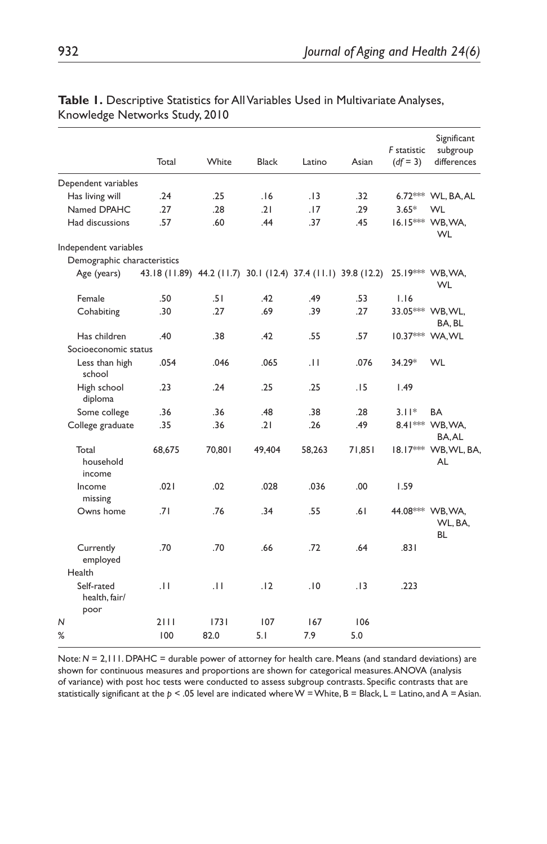|                                     | Total                                                         | White  | <b>Black</b> | Latino | Asian  | <b>F</b> statistic<br>$(df = 3)$ | Significant<br>subgroup<br>differences |
|-------------------------------------|---------------------------------------------------------------|--------|--------------|--------|--------|----------------------------------|----------------------------------------|
| Dependent variables                 |                                                               |        |              |        |        |                                  |                                        |
| Has living will                     | .24                                                           | .25    | .16          | . I 3  | .32    |                                  | 6.72*** WL, BA, AL                     |
| Named DPAHC                         | .27                                                           | .28    | .21          | .17    | .29    | $3.65*$                          | WL                                     |
| Had discussions                     | .57                                                           | .60    | .44          | .37    | .45    |                                  | 16.15*** WB.WA.<br><b>WL</b>           |
| Independent variables               |                                                               |        |              |        |        |                                  |                                        |
| Demographic characteristics         |                                                               |        |              |        |        |                                  |                                        |
| Age (years)                         | 43.18 (11.89) 44.2 (11.7) 30.1 (12.4) 37.4 (11.1) 39.8 (12.2) |        |              |        |        |                                  | 25.19*** WB, WA,<br>WL.                |
| Female                              | .50                                                           | .51    | .42          | .49    | .53    | 1.16                             |                                        |
| Cohabiting                          | .30                                                           | .27    | .69          | .39    | .27    |                                  | 33.05*** WB, WL,<br>BA, BL             |
| Has children                        | .40                                                           | .38    | .42          | .55    | .57    |                                  | 10.37*** WA, WL                        |
| Socioeconomic status                |                                                               |        |              |        |        |                                  |                                        |
| Less than high<br>school            | .054                                                          | .046   | .065         | $\pm$  | .076   | 34.29*                           | WL                                     |
| High school<br>diploma              | .23                                                           | .24    | 25           | .25    | .15    | 1.49                             |                                        |
| Some college                        | .36                                                           | .36    | .48          | .38    | .28    | $3.11*$                          | BA                                     |
| College graduate                    | .35                                                           | .36    | .21          | .26    | .49    |                                  | 8.41*** WB, WA,<br>BA, AL              |
| Total<br>household<br>income        | 68,675                                                        | 70,801 | 49,404       | 58,263 | 71,851 |                                  | 18.17*** WB, WL, BA,<br>AL             |
| Income<br>missing                   | .021                                                          | .02    | .028         | .036   | .00    | 1.59                             |                                        |
| Owns home                           | .71                                                           | .76    | .34          | .55    | .61    |                                  | 44.08*** WB, WA,<br>WL, BA,<br>BL      |
| Currently<br>employed<br>Health     | .70                                                           | .70    | .66          | .72    | .64    | .831                             |                                        |
| Self-rated<br>health, fair/<br>poor | .H                                                            | .H     | .12          | .10    | .13    | .223                             |                                        |
| N                                   | 2111                                                          | 1731   | 107          | 167    | 106    |                                  |                                        |
| ℅                                   | 100                                                           | 82.0   | 5.1          | 7.9    | 5.0    |                                  |                                        |

#### **Table 1.** Descriptive Statistics for All Variables Used in Multivariate Analyses, Knowledge Networks Study, 2010

Note: *N* = 2, I I I . DPAHC = durable power of attorney for health care. Means (and standard deviations) are shown for continuous measures and proportions are shown for categorical measures. ANOVA (analysis of variance) with post hoc tests were conducted to assess subgroup contrasts. Specific contrasts that are statistically significant at the *p <* .05 level are indicated where W = White, B = Black, L = Latino, and A = Asian.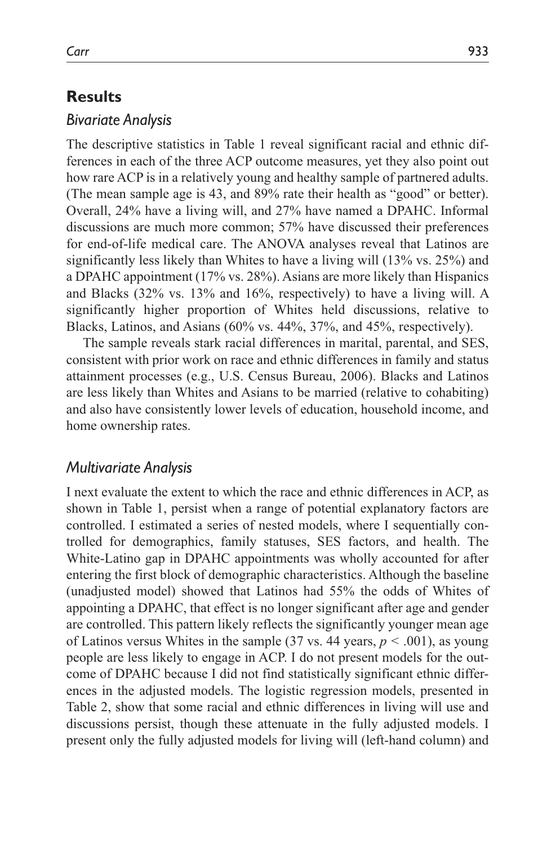# **Results**

#### *Bivariate Analysis*

The descriptive statistics in Table 1 reveal significant racial and ethnic differences in each of the three ACP outcome measures, yet they also point out how rare ACP is in a relatively young and healthy sample of partnered adults. (The mean sample age is 43, and 89% rate their health as "good" or better). Overall, 24% have a living will, and 27% have named a DPAHC. Informal discussions are much more common; 57% have discussed their preferences for end-of-life medical care. The ANOVA analyses reveal that Latinos are significantly less likely than Whites to have a living will (13% vs. 25%) and a DPAHC appointment (17% vs. 28%). Asians are more likely than Hispanics and Blacks (32% vs. 13% and 16%, respectively) to have a living will. A significantly higher proportion of Whites held discussions, relative to Blacks, Latinos, and Asians (60% vs. 44%, 37%, and 45%, respectively).

The sample reveals stark racial differences in marital, parental, and SES, consistent with prior work on race and ethnic differences in family and status attainment processes (e.g., U.S. Census Bureau, 2006). Blacks and Latinos are less likely than Whites and Asians to be married (relative to cohabiting) and also have consistently lower levels of education, household income, and home ownership rates.

### *Multivariate Analysis*

I next evaluate the extent to which the race and ethnic differences in ACP, as shown in Table 1, persist when a range of potential explanatory factors are controlled. I estimated a series of nested models, where I sequentially controlled for demographics, family statuses, SES factors, and health. The White-Latino gap in DPAHC appointments was wholly accounted for after entering the first block of demographic characteristics. Although the baseline (unadjusted model) showed that Latinos had 55% the odds of Whites of appointing a DPAHC, that effect is no longer significant after age and gender are controlled. This pattern likely reflects the significantly younger mean age of Latinos versus Whites in the sample (37 vs. 44 years, *p <* .001), as young people are less likely to engage in ACP. I do not present models for the outcome of DPAHC because I did not find statistically significant ethnic differences in the adjusted models. The logistic regression models, presented in Table 2, show that some racial and ethnic differences in living will use and discussions persist, though these attenuate in the fully adjusted models. I present only the fully adjusted models for living will (left-hand column) and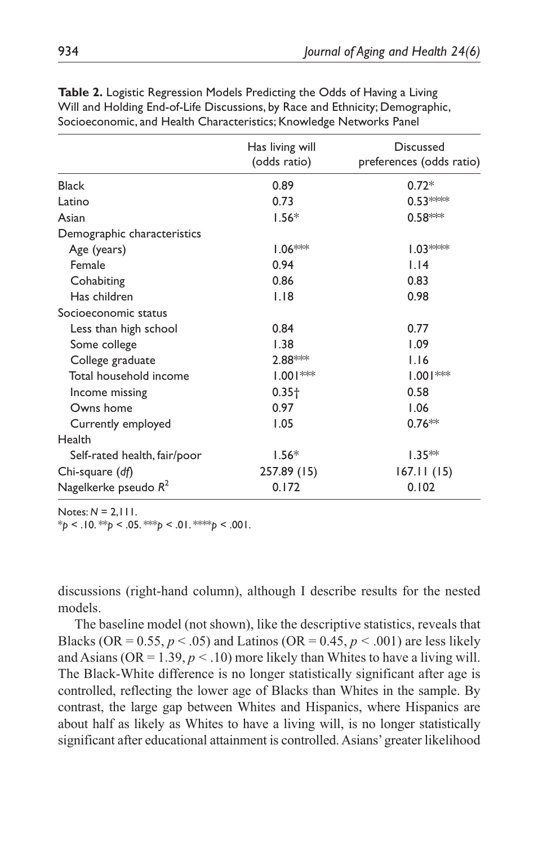|                              | Has living will<br>(odds ratio) | <b>Discussed</b><br>preferences (odds ratio) |
|------------------------------|---------------------------------|----------------------------------------------|
| <b>Black</b>                 | 0.89                            | $0.72*$                                      |
| Latino                       | 0.73                            | $0.53***$                                    |
| Asian                        | $1.56*$                         | $0.58***$                                    |
| Demographic characteristics  |                                 |                                              |
| Age (years)                  | $1.06***$                       | $1.03****$                                   |
| Female                       | 0.94                            | 1.14                                         |
| Cohabiting                   | 0.86                            | 0.83                                         |
| Has children                 | 1.18                            | 0.98                                         |
| Socioeconomic status         |                                 |                                              |
| Less than high school        | 0.84                            | 0.77                                         |
| Some college                 | 1.38                            | 1.09                                         |
| College graduate             | 2.88 ***                        | 1.16                                         |
| Total household income       | $1.001***$                      | $1.001***$                                   |
| Income missing               | $0.35 +$                        | 0.58                                         |
| Owns home                    | 0.97                            | 1.06                                         |
| Currently employed           | 1.05                            | $0.76**$                                     |
| Health                       |                                 |                                              |
| Self-rated health, fair/poor | $1.56*$                         | $1.35***$                                    |
| Chi-square (df)              | 257.89 (15)                     | 167.11(15)                                   |
| Nagelkerke pseudo $R^2$      | 0.172                           | 0.102                                        |

**Table 2.** Logistic Regression Models Predicting the Odds of Having a Living Will and Holding End-of-Life Discussions, by Race and Ethnicity; Demographic, Socioeconomic, and Health Characteristics; Knowledge Networks Panel

Notes: *N* = 2,111. \**p <* .10. \*\**p <* .05. \*\*\**p <* .01. \*\*\*\**p <* .001.

discussions (right-hand column), although I describe results for the nested models.

The baseline model (not shown), like the descriptive statistics, reveals that Blacks (OR =  $0.55$ ,  $p < .05$ ) and Latinos (OR =  $0.45$ ,  $p < .001$ ) are less likely and Asians ( $OR = 1.39$ ,  $p < 0.10$ ) more likely than Whites to have a living will. The Black-White difference is no longer statistically significant after age is controlled, reflecting the lower age of Blacks than Whites in the sample. By contrast, the large gap between Whites and Hispanics, where Hispanics are about half as likely as Whites to have a living will, is no longer statistically significant after educational attainment is controlled. Asians' greater likelihood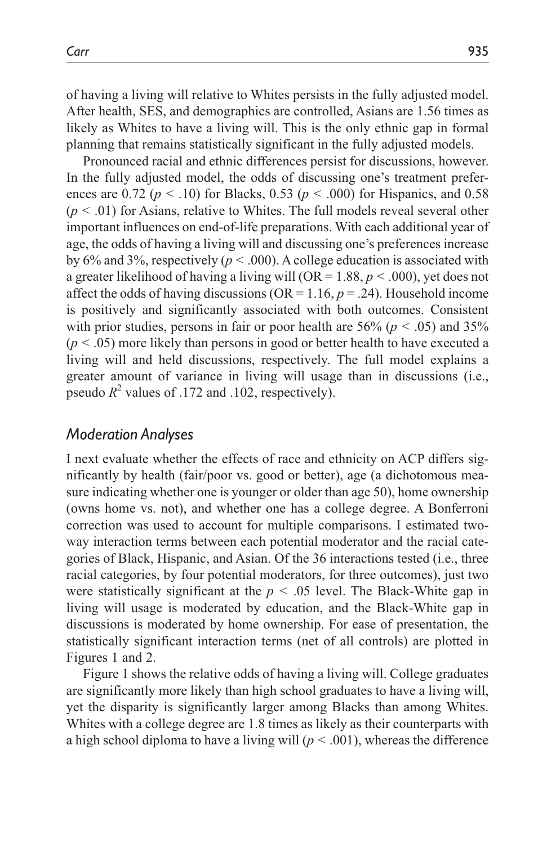of having a living will relative to Whites persists in the fully adjusted model. After health, SES, and demographics are controlled, Asians are 1.56 times as likely as Whites to have a living will. This is the only ethnic gap in formal planning that remains statistically significant in the fully adjusted models.

Pronounced racial and ethnic differences persist for discussions, however. In the fully adjusted model, the odds of discussing one's treatment preferences are  $0.72$  ( $p < .10$ ) for Blacks,  $0.53$  ( $p < .000$ ) for Hispanics, and  $0.58$  $(p < .01)$  for Asians, relative to Whites. The full models reveal several other important influences on end-of-life preparations. With each additional year of age, the odds of having a living will and discussing one's preferences increase by 6% and 3%, respectively (*p <* .000). A college education is associated with a greater likelihood of having a living will (OR = 1.88, *p <* .000), yet does not affect the odds of having discussions ( $OR = 1.16$ ,  $p = .24$ ). Household income is positively and significantly associated with both outcomes. Consistent with prior studies, persons in fair or poor health are  $56\%$  ( $p < .05$ ) and  $35\%$  $(p < .05)$  more likely than persons in good or better health to have executed a living will and held discussions, respectively. The full model explains a greater amount of variance in living will usage than in discussions (i.e., pseudo  $R^2$  values of .172 and .102, respectively).

#### *Moderation Analyses*

I next evaluate whether the effects of race and ethnicity on ACP differs significantly by health (fair/poor vs. good or better), age (a dichotomous measure indicating whether one is younger or older than age 50), home ownership (owns home vs. not), and whether one has a college degree. A Bonferroni correction was used to account for multiple comparisons. I estimated twoway interaction terms between each potential moderator and the racial categories of Black, Hispanic, and Asian. Of the 36 interactions tested (i.e., three racial categories, by four potential moderators, for three outcomes), just two were statistically significant at the *p <* .05 level. The Black-White gap in living will usage is moderated by education, and the Black-White gap in discussions is moderated by home ownership. For ease of presentation, the statistically significant interaction terms (net of all controls) are plotted in Figures 1 and 2.

Figure 1 shows the relative odds of having a living will. College graduates are significantly more likely than high school graduates to have a living will, yet the disparity is significantly larger among Blacks than among Whites. Whites with a college degree are 1.8 times as likely as their counterparts with a high school diploma to have a living will (*p <* .001), whereas the difference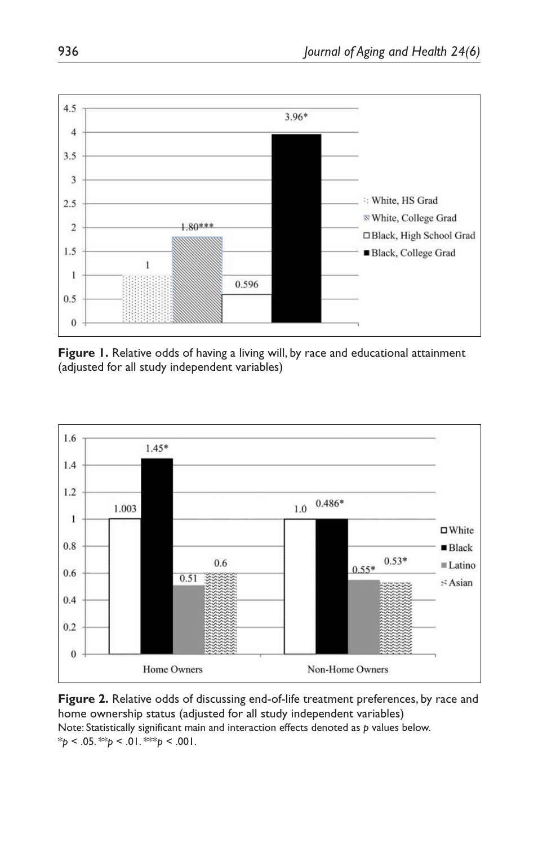

**Figure 1.** Relative odds of having a living will, by race and educational attainment (adjusted for all study independent variables)



**Figure 2.** Relative odds of discussing end-of-life treatment preferences, by race and home ownership status (adjusted for all study independent variables) Note: Statistically significant main and interaction effects denoted as *p* values below.  $*_{p}$  < .05. \*\**p* < .01. \*\**p* < .001.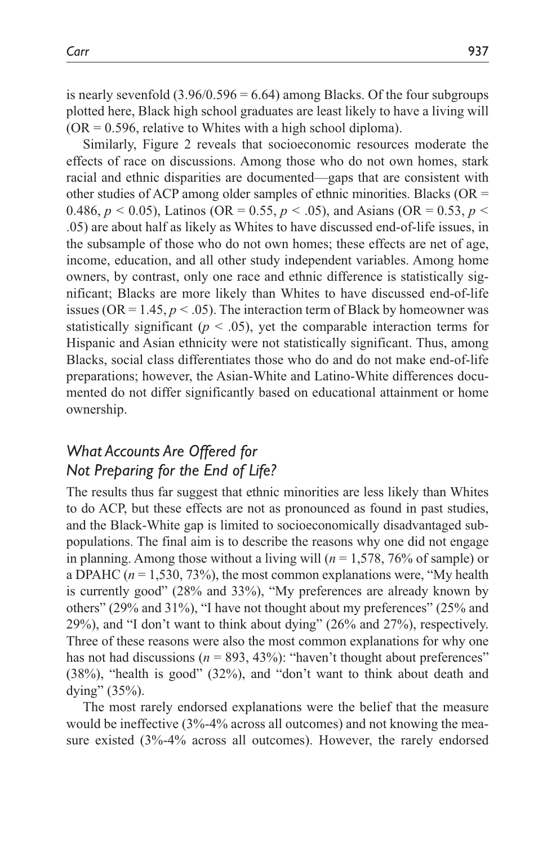is nearly sevenfold  $(3.96/0.596 = 6.64)$  among Blacks. Of the four subgroups plotted here, Black high school graduates are least likely to have a living will  $(OR = 0.596,$  relative to Whites with a high school diploma).

Similarly, Figure 2 reveals that socioeconomic resources moderate the effects of race on discussions. Among those who do not own homes, stark racial and ethnic disparities are documented—gaps that are consistent with other studies of ACP among older samples of ethnic minorities. Blacks ( $OR =$ 0.486, *p <* 0.05), Latinos (OR = 0.55, *p <* .05), and Asians (OR = 0.53, *p <* .05) are about half as likely as Whites to have discussed end-of-life issues, in the subsample of those who do not own homes; these effects are net of age, income, education, and all other study independent variables. Among home owners, by contrast, only one race and ethnic difference is statistically significant; Blacks are more likely than Whites to have discussed end-of-life issues ( $OR = 1.45$ ,  $p < .05$ ). The interaction term of Black by homeowner was statistically significant ( $p < .05$ ), yet the comparable interaction terms for Hispanic and Asian ethnicity were not statistically significant. Thus, among Blacks, social class differentiates those who do and do not make end-of-life preparations; however, the Asian-White and Latino-White differences documented do not differ significantly based on educational attainment or home ownership.

# *What Accounts Are Offered for Not Preparing for the End of Life?*

The results thus far suggest that ethnic minorities are less likely than Whites to do ACP, but these effects are not as pronounced as found in past studies, and the Black-White gap is limited to socioeconomically disadvantaged subpopulations. The final aim is to describe the reasons why one did not engage in planning. Among those without a living will (*n* = 1,578, 76% of sample) or a DPAHC (*n* = 1,530, 73%), the most common explanations were, "My health is currently good" (28% and 33%), "My preferences are already known by others" (29% and 31%), "I have not thought about my preferences" (25% and 29%), and "I don't want to think about dying" (26% and 27%), respectively. Three of these reasons were also the most common explanations for why one has not had discussions ( $n = 893, 43\%$ ): "haven't thought about preferences" (38%), "health is good" (32%), and "don't want to think about death and dying" (35%).

The most rarely endorsed explanations were the belief that the measure would be ineffective (3%-4% across all outcomes) and not knowing the measure existed (3%-4% across all outcomes). However, the rarely endorsed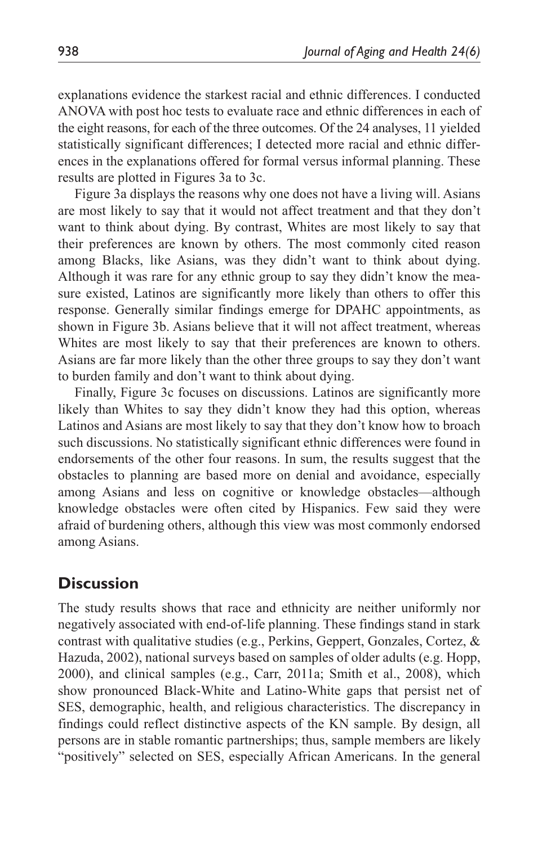explanations evidence the starkest racial and ethnic differences. I conducted ANOVA with post hoc tests to evaluate race and ethnic differences in each of the eight reasons, for each of the three outcomes. Of the 24 analyses, 11 yielded statistically significant differences; I detected more racial and ethnic differences in the explanations offered for formal versus informal planning. These results are plotted in Figures 3a to 3c.

Figure 3a displays the reasons why one does not have a living will. Asians are most likely to say that it would not affect treatment and that they don't want to think about dying. By contrast, Whites are most likely to say that their preferences are known by others. The most commonly cited reason among Blacks, like Asians, was they didn't want to think about dying. Although it was rare for any ethnic group to say they didn't know the measure existed, Latinos are significantly more likely than others to offer this response. Generally similar findings emerge for DPAHC appointments, as shown in Figure 3b. Asians believe that it will not affect treatment, whereas Whites are most likely to say that their preferences are known to others. Asians are far more likely than the other three groups to say they don't want to burden family and don't want to think about dying.

Finally, Figure 3c focuses on discussions. Latinos are significantly more likely than Whites to say they didn't know they had this option, whereas Latinos and Asians are most likely to say that they don't know how to broach such discussions. No statistically significant ethnic differences were found in endorsements of the other four reasons. In sum, the results suggest that the obstacles to planning are based more on denial and avoidance, especially among Asians and less on cognitive or knowledge obstacles—although knowledge obstacles were often cited by Hispanics. Few said they were afraid of burdening others, although this view was most commonly endorsed among Asians.

## **Discussion**

The study results shows that race and ethnicity are neither uniformly nor negatively associated with end-of-life planning. These findings stand in stark contrast with qualitative studies (e.g., Perkins, Geppert, Gonzales, Cortez, & Hazuda, 2002), national surveys based on samples of older adults (e.g. Hopp, 2000), and clinical samples (e.g., Carr, 2011a; Smith et al., 2008), which show pronounced Black-White and Latino-White gaps that persist net of SES, demographic, health, and religious characteristics. The discrepancy in findings could reflect distinctive aspects of the KN sample. By design, all persons are in stable romantic partnerships; thus, sample members are likely "positively" selected on SES, especially African Americans. In the general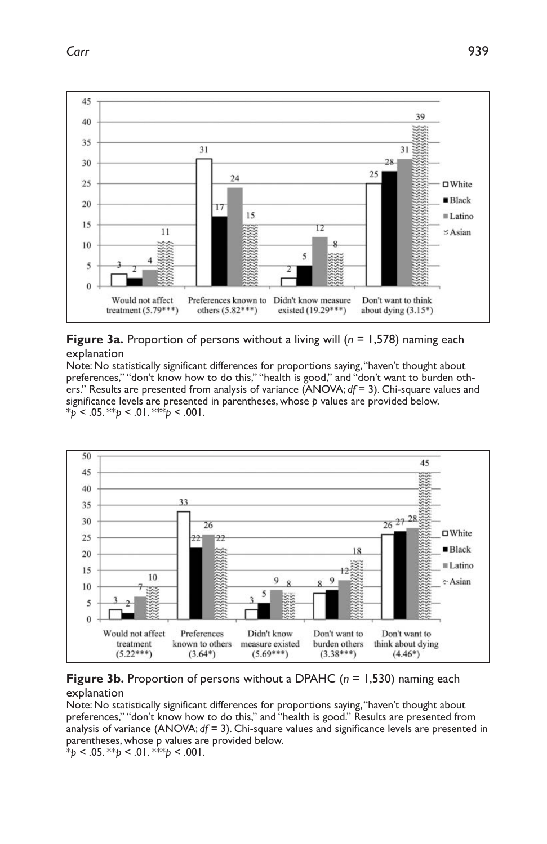

**Figure 3a.** Proportion of persons without a living will (*n* = 1,578) naming each explanation

Note: No statistically significant differences for proportions saying, "haven't thought about preferences," "don't know how to do this," "health is good," and "don't want to burden others." Results are presented from analysis of variance (ANOVA; *df* = 3). Chi-square values and significance levels are presented in parentheses, whose *p* values are provided below. \**p <* .05. \*\**p <* .01. \*\*\**p <* .001.



**Figure 3b.** Proportion of persons without a DPAHC (*n* = 1,530) naming each explanation

Note: No statistically significant differences for proportions saying, "haven't thought about preferences," "don't know how to do this," and "health is good." Results are presented from analysis of variance (ANOVA; *df* = 3). Chi-square values and significance levels are presented in parentheses, whose p values are provided below. \**p <* .05. \*\**p <* .01. \*\*\**p <* .001.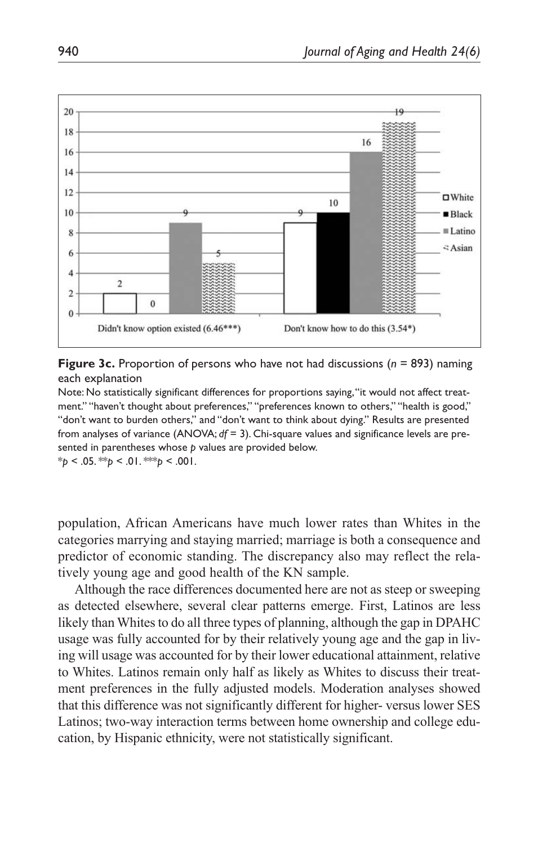

**Figure 3c.** Proportion of persons who have not had discussions (*n* = 893) naming each explanation

Note: No statistically significant differences for proportions saying, "it would not affect treatment." "haven't thought about preferences," "preferences known to others," "health is good," "don't want to burden others," and "don't want to think about dying." Results are presented from analyses of variance (ANOVA; *df* = 3). Chi-square values and significance levels are presented in parentheses whose *p* values are provided below. \**p <* .05. \*\**p <* .01. \*\*\**p <* .001.

population, African Americans have much lower rates than Whites in the categories marrying and staying married; marriage is both a consequence and predictor of economic standing. The discrepancy also may reflect the relatively young age and good health of the KN sample.

Although the race differences documented here are not as steep or sweeping as detected elsewhere, several clear patterns emerge. First, Latinos are less likely than Whites to do all three types of planning, although the gap in DPAHC usage was fully accounted for by their relatively young age and the gap in living will usage was accounted for by their lower educational attainment, relative to Whites. Latinos remain only half as likely as Whites to discuss their treatment preferences in the fully adjusted models. Moderation analyses showed that this difference was not significantly different for higher- versus lower SES Latinos; two-way interaction terms between home ownership and college education, by Hispanic ethnicity, were not statistically significant.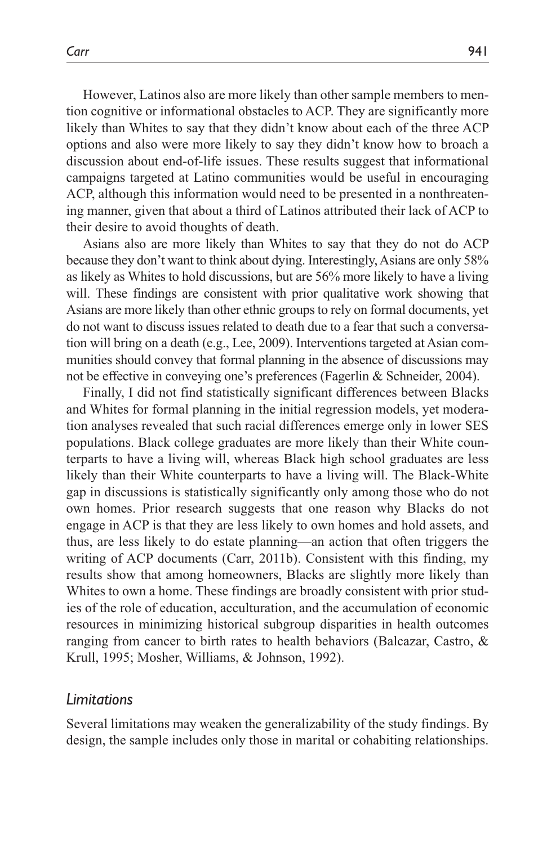However, Latinos also are more likely than other sample members to mention cognitive or informational obstacles to ACP. They are significantly more likely than Whites to say that they didn't know about each of the three ACP options and also were more likely to say they didn't know how to broach a discussion about end-of-life issues. These results suggest that informational campaigns targeted at Latino communities would be useful in encouraging ACP, although this information would need to be presented in a nonthreatening manner, given that about a third of Latinos attributed their lack of ACP to their desire to avoid thoughts of death.

Asians also are more likely than Whites to say that they do not do ACP because they don't want to think about dying. Interestingly, Asians are only 58% as likely as Whites to hold discussions, but are 56% more likely to have a living will. These findings are consistent with prior qualitative work showing that Asians are more likely than other ethnic groups to rely on formal documents, yet do not want to discuss issues related to death due to a fear that such a conversation will bring on a death (e.g., Lee, 2009). Interventions targeted at Asian communities should convey that formal planning in the absence of discussions may not be effective in conveying one's preferences (Fagerlin & Schneider, 2004).

Finally, I did not find statistically significant differences between Blacks and Whites for formal planning in the initial regression models, yet moderation analyses revealed that such racial differences emerge only in lower SES populations. Black college graduates are more likely than their White counterparts to have a living will, whereas Black high school graduates are less likely than their White counterparts to have a living will. The Black-White gap in discussions is statistically significantly only among those who do not own homes. Prior research suggests that one reason why Blacks do not engage in ACP is that they are less likely to own homes and hold assets, and thus, are less likely to do estate planning—an action that often triggers the writing of ACP documents (Carr, 2011b). Consistent with this finding, my results show that among homeowners, Blacks are slightly more likely than Whites to own a home. These findings are broadly consistent with prior studies of the role of education, acculturation, and the accumulation of economic resources in minimizing historical subgroup disparities in health outcomes ranging from cancer to birth rates to health behaviors (Balcazar, Castro, & Krull, 1995; Mosher, Williams, & Johnson, 1992).

#### *Limitations*

Several limitations may weaken the generalizability of the study findings. By design, the sample includes only those in marital or cohabiting relationships.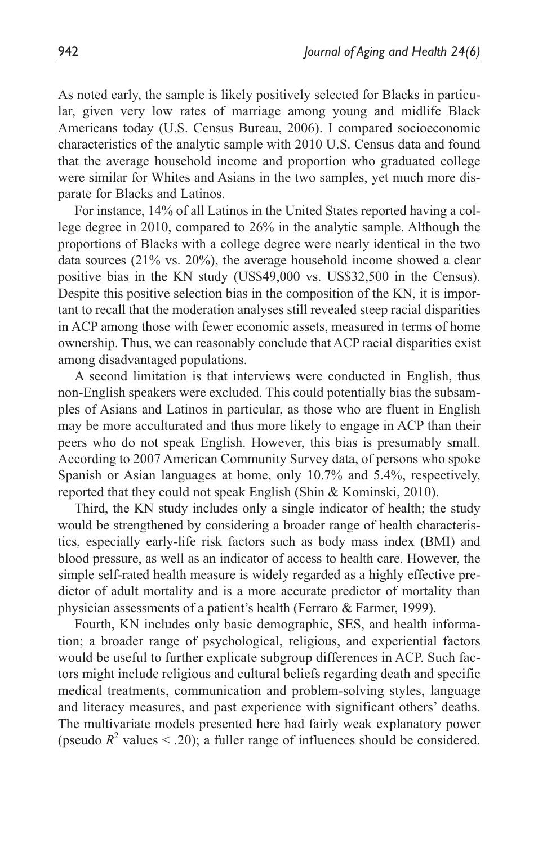As noted early, the sample is likely positively selected for Blacks in particular, given very low rates of marriage among young and midlife Black Americans today (U.S. Census Bureau, 2006). I compared socioeconomic characteristics of the analytic sample with 2010 U.S. Census data and found that the average household income and proportion who graduated college were similar for Whites and Asians in the two samples, yet much more disparate for Blacks and Latinos.

For instance, 14% of all Latinos in the United States reported having a college degree in 2010, compared to 26% in the analytic sample. Although the proportions of Blacks with a college degree were nearly identical in the two data sources (21% vs. 20%), the average household income showed a clear positive bias in the KN study (US\$49,000 vs. US\$32,500 in the Census). Despite this positive selection bias in the composition of the KN, it is important to recall that the moderation analyses still revealed steep racial disparities in ACP among those with fewer economic assets, measured in terms of home ownership. Thus, we can reasonably conclude that ACP racial disparities exist among disadvantaged populations.

A second limitation is that interviews were conducted in English, thus non-English speakers were excluded. This could potentially bias the subsamples of Asians and Latinos in particular, as those who are fluent in English may be more acculturated and thus more likely to engage in ACP than their peers who do not speak English. However, this bias is presumably small. According to 2007 American Community Survey data, of persons who spoke Spanish or Asian languages at home, only 10.7% and 5.4%, respectively, reported that they could not speak English (Shin & Kominski, 2010).

Third, the KN study includes only a single indicator of health; the study would be strengthened by considering a broader range of health characteristics, especially early-life risk factors such as body mass index (BMI) and blood pressure, as well as an indicator of access to health care. However, the simple self-rated health measure is widely regarded as a highly effective predictor of adult mortality and is a more accurate predictor of mortality than physician assessments of a patient's health (Ferraro & Farmer, 1999).

Fourth, KN includes only basic demographic, SES, and health information; a broader range of psychological, religious, and experiential factors would be useful to further explicate subgroup differences in ACP. Such factors might include religious and cultural beliefs regarding death and specific medical treatments, communication and problem-solving styles, language and literacy measures, and past experience with significant others' deaths. The multivariate models presented here had fairly weak explanatory power (pseudo  $R^2$  values < .20); a fuller range of influences should be considered.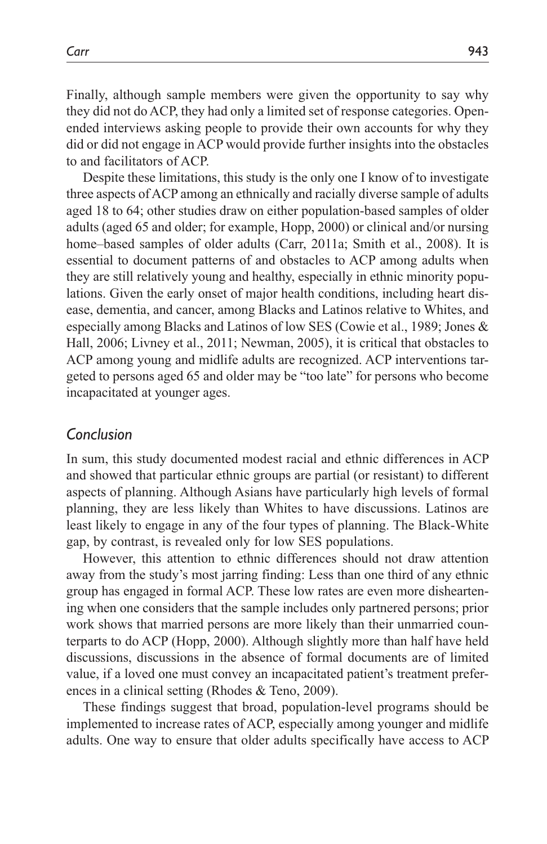Finally, although sample members were given the opportunity to say why they did not do ACP, they had only a limited set of response categories. Openended interviews asking people to provide their own accounts for why they did or did not engage in ACP would provide further insights into the obstacles to and facilitators of ACP.

Despite these limitations, this study is the only one I know of to investigate three aspects of ACP among an ethnically and racially diverse sample of adults aged 18 to 64; other studies draw on either population-based samples of older adults (aged 65 and older; for example, Hopp, 2000) or clinical and/or nursing home–based samples of older adults (Carr, 2011a; Smith et al., 2008). It is essential to document patterns of and obstacles to ACP among adults when they are still relatively young and healthy, especially in ethnic minority populations. Given the early onset of major health conditions, including heart disease, dementia, and cancer, among Blacks and Latinos relative to Whites, and especially among Blacks and Latinos of low SES (Cowie et al., 1989; Jones & Hall, 2006; Livney et al., 2011; Newman, 2005), it is critical that obstacles to ACP among young and midlife adults are recognized. ACP interventions targeted to persons aged 65 and older may be "too late" for persons who become incapacitated at younger ages.

#### *Conclusion*

In sum, this study documented modest racial and ethnic differences in ACP and showed that particular ethnic groups are partial (or resistant) to different aspects of planning. Although Asians have particularly high levels of formal planning, they are less likely than Whites to have discussions. Latinos are least likely to engage in any of the four types of planning. The Black-White gap, by contrast, is revealed only for low SES populations.

However, this attention to ethnic differences should not draw attention away from the study's most jarring finding: Less than one third of any ethnic group has engaged in formal ACP. These low rates are even more disheartening when one considers that the sample includes only partnered persons; prior work shows that married persons are more likely than their unmarried counterparts to do ACP (Hopp, 2000). Although slightly more than half have held discussions, discussions in the absence of formal documents are of limited value, if a loved one must convey an incapacitated patient's treatment preferences in a clinical setting (Rhodes & Teno, 2009).

These findings suggest that broad, population-level programs should be implemented to increase rates of ACP, especially among younger and midlife adults. One way to ensure that older adults specifically have access to ACP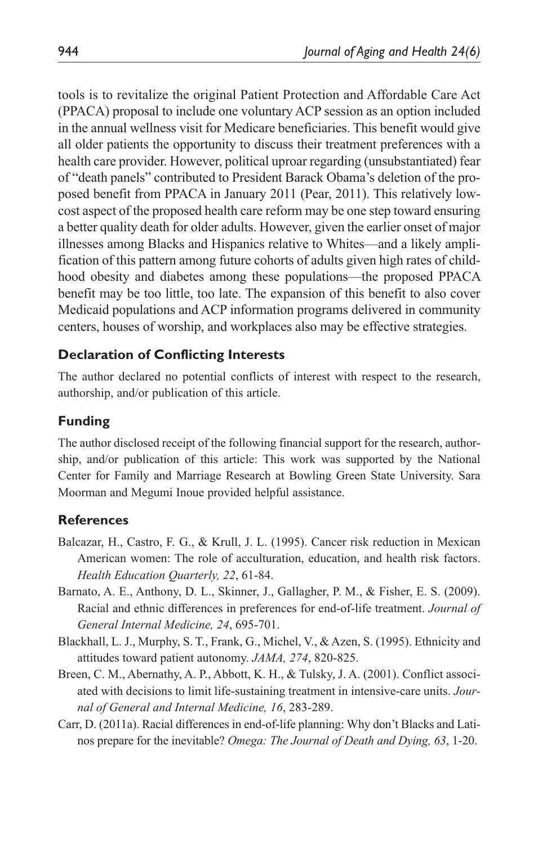tools is to revitalize the original Patient Protection and Affordable Care Act (PPACA) proposal to include one voluntary ACP session as an option included in the annual wellness visit for Medicare beneficiaries. This benefit would give all older patients the opportunity to discuss their treatment preferences with a health care provider. However, political uproar regarding (unsubstantiated) fear of "death panels" contributed to President Barack Obama's deletion of the proposed benefit from PPACA in January 2011 (Pear, 2011). This relatively lowcost aspect of the proposed health care reform may be one step toward ensuring a better quality death for older adults. However, given the earlier onset of major illnesses among Blacks and Hispanics relative to Whites—and a likely amplification of this pattern among future cohorts of adults given high rates of childhood obesity and diabetes among these populations—the proposed PPACA benefit may be too little, too late. The expansion of this benefit to also cover Medicaid populations and ACP information programs delivered in community centers, houses of worship, and workplaces also may be effective strategies.

#### **Declaration of Conflicting Interests**

The author declared no potential conflicts of interest with respect to the research, authorship, and/or publication of this article.

### **Funding**

The author disclosed receipt of the following financial support for the research, authorship, and/or publication of this article: This work was supported by the National Center for Family and Marriage Research at Bowling Green State University. Sara Moorman and Megumi Inoue provided helpful assistance.

#### **References**

- Balcazar, H., Castro, F. G., & Krull, J. L. (1995). Cancer risk reduction in Mexican American women: The role of acculturation, education, and health risk factors. *Health Education Quarterly, 22*, 61-84.
- Barnato, A. E., Anthony, D. L., Skinner, J., Gallagher, P. M., & Fisher, E. S. (2009). Racial and ethnic differences in preferences for end-of-life treatment. *Journal of General Internal Medicine, 24*, 695-701.
- Blackhall, L. J., Murphy, S. T., Frank, G., Michel, V., & Azen, S. (1995). Ethnicity and attitudes toward patient autonomy. *JAMA, 274*, 820-825.
- Breen, C. M., Abernathy, A. P., Abbott, K. H., & Tulsky, J. A. (2001). Conflict associated with decisions to limit life-sustaining treatment in intensive-care units. *Journal of General and Internal Medicine, 16*, 283-289.
- Carr, D. (2011a). Racial differences in end-of-life planning: Why don't Blacks and Latinos prepare for the inevitable? *Omega: The Journal of Death and Dying, 63*, 1-20.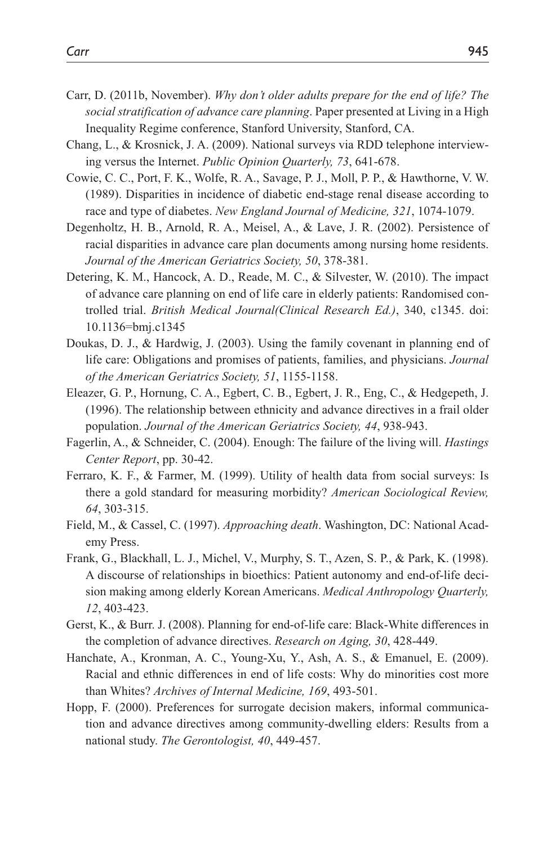- Carr, D. (2011b, November). *Why don't older adults prepare for the end of life? The social stratification of advance care planning*. Paper presented at Living in a High Inequality Regime conference, Stanford University, Stanford, CA.
- Chang, L., & Krosnick, J. A. (2009). National surveys via RDD telephone interviewing versus the Internet. *Public Opinion Quarterly, 73*, 641-678.
- Cowie, C. C., Port, F. K., Wolfe, R. A., Savage, P. J., Moll, P. P., & Hawthorne, V. W. (1989). Disparities in incidence of diabetic end-stage renal disease according to race and type of diabetes. *New England Journal of Medicine, 321*, 1074-1079.
- Degenholtz, H. B., Arnold, R. A., Meisel, A., & Lave, J. R. (2002). Persistence of racial disparities in advance care plan documents among nursing home residents. *Journal of the American Geriatrics Society, 50*, 378-381.
- Detering, K. M., Hancock, A. D., Reade, M. C., & Silvester, W. (2010). The impact of advance care planning on end of life care in elderly patients: Randomised controlled trial. *British Medical Journal(Clinical Research Ed.)*, 340, c1345. doi: 10.1136=bmj.c1345
- Doukas, D. J., & Hardwig, J. (2003). Using the family covenant in planning end of life care: Obligations and promises of patients, families, and physicians. *Journal of the American Geriatrics Society, 51*, 1155-1158.
- Eleazer, G. P., Hornung, C. A., Egbert, C. B., Egbert, J. R., Eng, C., & Hedgepeth, J. (1996). The relationship between ethnicity and advance directives in a frail older population. *Journal of the American Geriatrics Society, 44*, 938-943.
- Fagerlin, A., & Schneider, C. (2004). Enough: The failure of the living will. *Hastings Center Report*, pp. 30-42.
- Ferraro, K. F., & Farmer, M. (1999). Utility of health data from social surveys: Is there a gold standard for measuring morbidity? *American Sociological Review, 64*, 303-315.
- Field, M., & Cassel, C. (1997). *Approaching death*. Washington, DC: National Academy Press.
- Frank, G., Blackhall, L. J., Michel, V., Murphy, S. T., Azen, S. P., & Park, K. (1998). A discourse of relationships in bioethics: Patient autonomy and end-of-life decision making among elderly Korean Americans. *Medical Anthropology Quarterly, 12*, 403-423.
- Gerst, K., & Burr. J. (2008). Planning for end-of-life care: Black-White differences in the completion of advance directives. *Research on Aging, 30*, 428-449.
- Hanchate, A., Kronman, A. C., Young-Xu, Y., Ash, A. S., & Emanuel, E. (2009). Racial and ethnic differences in end of life costs: Why do minorities cost more than Whites? *Archives of Internal Medicine, 169*, 493-501.
- Hopp, F. (2000). Preferences for surrogate decision makers, informal communication and advance directives among community-dwelling elders: Results from a national study. *The Gerontologist, 40*, 449-457.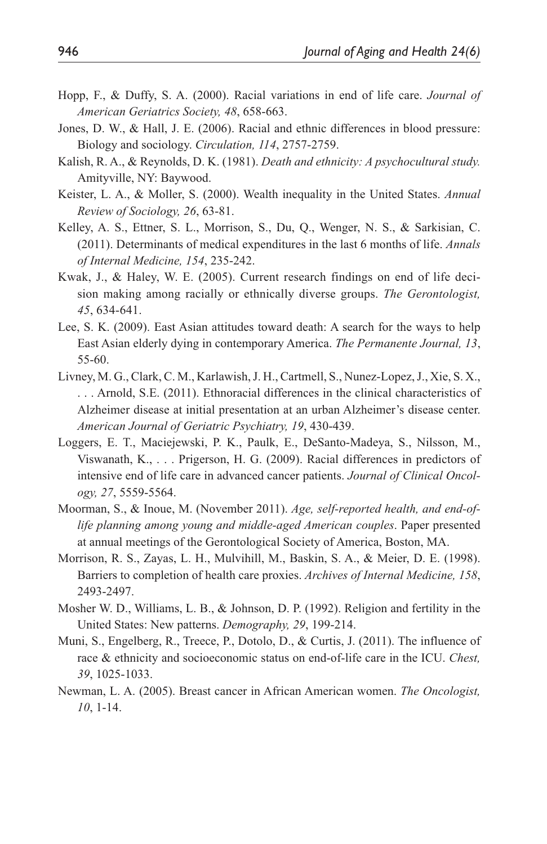- Hopp, F., & Duffy, S. A. (2000). Racial variations in end of life care. *Journal of American Geriatrics Society, 48*, 658-663.
- Jones, D. W., & Hall, J. E. (2006). Racial and ethnic differences in blood pressure: Biology and sociology. *Circulation, 114*, 2757-2759.
- Kalish, R. A., & Reynolds, D. K. (1981). *Death and ethnicity: A psychocultural study.* Amityville, NY: Baywood.
- Keister, L. A., & Moller, S. (2000). Wealth inequality in the United States. *Annual Review of Sociology, 26*, 63-81.
- Kelley, A. S., Ettner, S. L., Morrison, S., Du, Q., Wenger, N. S., & Sarkisian, C. (2011). Determinants of medical expenditures in the last 6 months of life. *Annals of Internal Medicine, 154*, 235-242.
- Kwak, J., & Haley, W. E. (2005). Current research findings on end of life decision making among racially or ethnically diverse groups. *The Gerontologist, 45*, 634-641.
- Lee, S. K. (2009). East Asian attitudes toward death: A search for the ways to help East Asian elderly dying in contemporary America. *The Permanente Journal, 13*, 55-60.
- Livney, M. G., Clark, C. M., Karlawish, J. H., Cartmell, S., Nunez-Lopez, J., Xie, S. X., . . . Arnold, S.E. (2011). Ethnoracial differences in the clinical characteristics of Alzheimer disease at initial presentation at an urban Alzheimer's disease center. *American Journal of Geriatric Psychiatry, 19*, 430-439.
- Loggers, E. T., Maciejewski, P. K., Paulk, E., DeSanto-Madeya, S., Nilsson, M., Viswanath, K., . . . Prigerson, H. G. (2009). Racial differences in predictors of intensive end of life care in advanced cancer patients. *Journal of Clinical Oncology, 27*, 5559-5564.
- Moorman, S., & Inoue, M. (November 2011). *Age, self-reported health, and end-oflife planning among young and middle-aged American couples*. Paper presented at annual meetings of the Gerontological Society of America, Boston, MA.
- Morrison, R. S., Zayas, L. H., Mulvihill, M., Baskin, S. A., & Meier, D. E. (1998). Barriers to completion of health care proxies. *Archives of Internal Medicine, 158*, 2493-2497.
- Mosher W. D., Williams, L. B., & Johnson, D. P. (1992). Religion and fertility in the United States: New patterns. *Demography, 29*, 199-214.
- Muni, S., Engelberg, R., Treece, P., Dotolo, D., & Curtis, J. (2011). The influence of race & ethnicity and socioeconomic status on end-of-life care in the ICU. *Chest, 39*, 1025-1033.
- Newman, L. A. (2005). Breast cancer in African American women. *The Oncologist, 10*, 1-14.